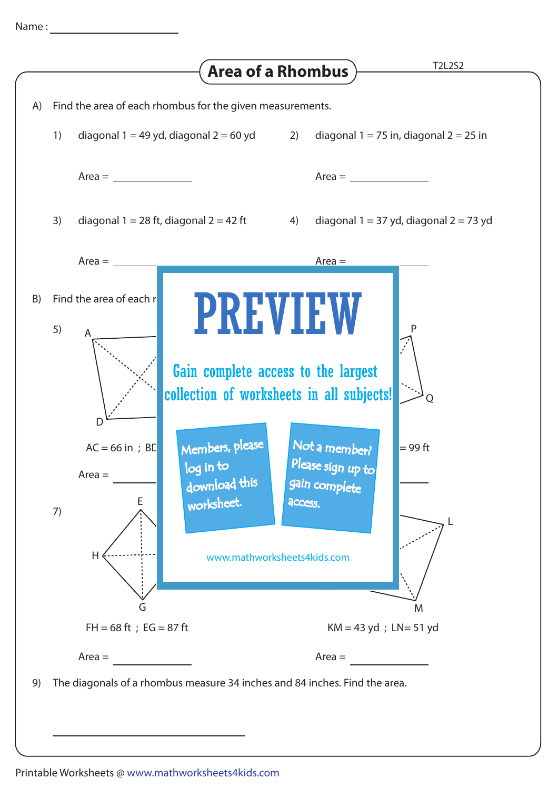